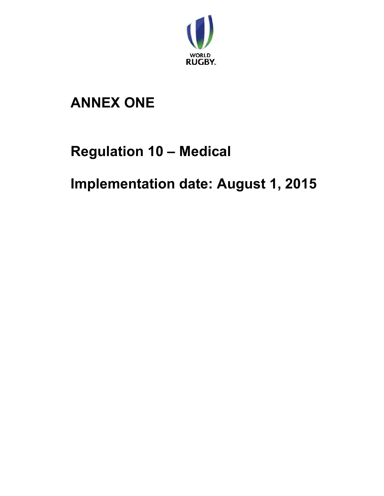

# **ANNEX ONE**

# **Regulation 10 – Medical**

**Implementation date: August 1, 2015**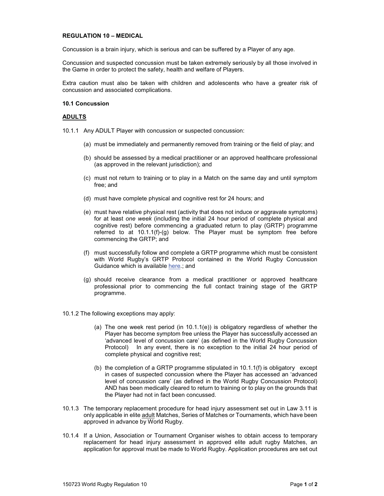## **REGULATION 10 – MEDICAL**

Concussion is a brain injury, which is serious and can be suffered by a Player of any age.

Concussion and suspected concussion must be taken extremely seriously by all those involved in the Game in order to protect the safety, health and welfare of Players.

Extra caution must also be taken with children and adolescents who have a greater risk of concussion and associated complications.

## **10.1 Concussion**

## **ADULTS**

10.1.1 Any ADULT Player with concussion or suspected concussion:

- (a) must be immediately and permanently removed from training or the field of play; and
- (b) should be assessed by a medical practitioner or an approved healthcare professional (as approved in the relevant jurisdiction); and
- (c) must not return to training or to play in a Match on the same day and until symptom free; and
- (d) must have complete physical and cognitive rest for 24 hours; and
- (e) must have relative physical rest (activity that does not induce or aggravate symptoms) for at least *one week* (including the initial 24 hour period of complete physical and cognitive rest) before commencing a graduated return to play (GRTP) programme referred to at  $10.1.1(f)-(g)$  below. The Player must be symptom free before commencing the GRTP; and
- (f) must successfully follow and complete a GRTP programme which must be consistent with World Rugby's GRTP Protocol contained in the World Rugby Concussion Guidance which is available here.; and
- (g) should receive clearance from a medical practitioner or approved healthcare professional prior to commencing the full contact training stage of the GRTP programme.
- 10.1.2 The following exceptions may apply:
	- (a) The one week rest period (in 10.1.1(e)) is obligatory regardless of whether the Player has become symptom free unless the Player has successfully accessed an 'advanced level of concussion care' (as defined in the World Rugby Concussion Protocol) In any event, there is no exception to the initial 24 hour period of complete physical and cognitive rest;
	- (b) the completion of a GRTP programme stipulated in 10.1.1(f) is obligatory except in cases of suspected concussion where the Player has accessed an 'advanced level of concussion care' (as defined in the World Rugby Concussion Protocol) AND has been medically cleared to return to training or to play on the grounds that the Player had not in fact been concussed.
- 10.1.3 The temporary replacement procedure for head injury assessment set out in Law 3.11 is only applicable in elite adult Matches, Series of Matches or Tournaments, which have been approved in advance by World Rugby.
- 10.1.4 If a Union, Association or Tournament Organiser wishes to obtain access to temporary replacement for head injury assessment in approved elite adult rugby Matches, an application for approval must be made to World Rugby. Application procedures are set out